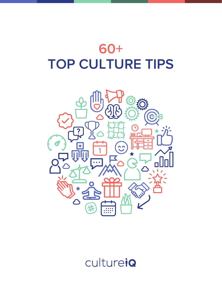

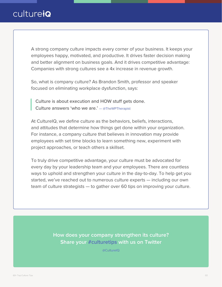A strong company culture impacts every corner of your business. It keeps your employees happy, motivated, and productive. It drives faster decision making and better alignment on business goals. And it drives competitive advantage: Companies with strong cultures see a 4x increase in revenue growth.

So, what is company culture? As Brandon Smith, professor and speaker focused on eliminating workplace dysfunction, says:

Culture is about execution and HOW stuff gets done. Culture answers 'who we are.' — [@TheWPTherapist](https://twitter.com/thewptherapist)

At CultureIQ, we define culture as the behaviors, beliefs, interactions, and attitudes that determine how things get done within your organization. For instance, a company culture that believes in innovation may provide employees with set time blocks to learn something new, experiment with project approaches, or teach others a skillset.

To truly drive competitive advantage, your culture must be advocated for every day by your leadership team and your employees. There are countless ways to uphold and strengthen your culture in the day-to-day. To help get you started, we've reached out to numerous culture experts — including our own team of culture strategists — to gather over 60 tips on improving your culture.

> **How does your company strengthen its culture? Share your #culturetips with us on Twitter**

> > [@CultureIQ](https://twitter.com/CultureIQ)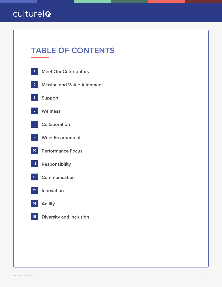# **TABLE OF CONTENTS**

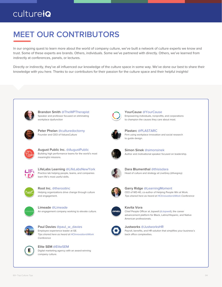#### **MEET OUR CONTRIBUTORS** ---------------

In our ongoing quest to learn more about the world of company culture, we've built a network of culture experts we know and trust. Some of these experts are brands. Others, individuals. Some we've partnered with directly. Others, we've learned from indirectly at conferences, panels, or lectures.

Directly or indirectly, they've all influenced our knowledge of the culture space in some way. We've done our best to share their knowledge with you here. Thanks to our contributors for their passion for the culture space and their helpful insights!



**Brandon Smith** [@TheWPTherapist](https://twitter.com/thewptherapist) Speaker and professor focused on eliminating workplace dysfunction



**Peter Phelan** [@culturedoctorny](https://twitter.com/culturedoctorny) Founder and CEO of ValuesCulture



**August Public Inc.** [@AugustPublic](https://twitter.com/augustpublic) Building high performance teams for the world's most meaningful missions.



**LifeLabs Learning** [@LifeLabsNewYork](https://twitter.com/lifelabsnewyork) Practice lab helping people, teams, and companies learn life's most useful skills.



**Root Inc.** [@therootinc](https://twitter.com/therootinc) Helping organizations drive change through culture and engagement.



**Limeade** [@Limeade](https://twitter.com/Limeade) An engagement company working to elevate culture.



**Paul Davies** [@paul\\_w\\_davies](https://twitter.com/paul_w_davies) Employee experience leader at GE. Tips shared here as heard at HCInnovation@Work Conference



**Elite SEM** [@EliteSEM](https://twitter.com/EliteSEM) Digital marketing agency with an award-winning company culture.



**YourCause** [@YourCause](https://twitter.com/YourCause) Empowering individuals, nonprofits, and corporations to champion the causes they care about most.



**Plastarc** [@PLASTARC](https://twitter.com/plastarc) Firm using workplace innovation and social research to guide design.



**Simon Sinek** [@simonsinek](https://twitter.com/simonsinek) Author and motivational speaker focused on leadership.



**Dara Blumenthal** [@thisisdara](https://twitter.com/thisisdara) Head of culture and strategy at LiveGrey (@livegrey)



**Garry Ridge** [@LearningMoment](https://twitter.com/learningmoment) CEO of WD-40, co-author of Helping People Win at Work. Tips shared here as heard at HCInnovation@Work Conference



**Kavita Vora**





**Justworks** [@JustworksHR](https://twitter.com/JustworksHR)

Payroll, benefits, and HR solution that simplifies your business's back office complexities.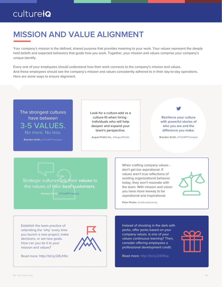#### **MISSION AND VALUE ALIGNMENT** ---------------

Your company's mission is the defined, shared purpose that provides meaning to your work. Your values represent the deeply held beliefs and expected behaviors that guide how you work. Together, your mission and values comprise your company's unique identify.

Every one of your employees should understand how their work connects to the company's mission and values. And these employees should see the company's mission and values consistently adhered to in their day-to-day operations. Here are some ways to ensure alignment.

#### The strongest cultures have between 3-5 VALUES.

No more. No less.

Brandon Smith, [@TheWPTherapist](https://twitter.com/thewptherapist)

**Look for a culture-add vs a culture-fit when hiring individuals who will help deepen and expand your team's perspective.** 

August Public Inc., [@AugustPublic](https://twitter.com/augustpublic)

**Reinforce your culture with powerful stories of who you are and the**  difference you make.

Brandon Smith, [@TheWPTherapist](https://twitter.com/thewptherapist)

Strategic cultures link their **values** to the values of their **best customers**.



When crafting company values don't get too aspirational. If values aren't true reflections of existing organizational behavior today, they won't resonate with the team. With mission and vision you have more leeway to be aspirational and inspirational.



Peter Phelan, [@culturedoctorny](https://twitter.com/culturedoctorny)

Establish the team practice of reiterating the 'why' every time you launch a new project, make decisions, or set new goals. How can you tie it to your mission and values?



Read more: http://bit.ly/2iEJh5n

Instead of shooting in the dark with perks, offer perks based on your company values. Is one of your values continuous learning? Then, consider offering employees a professional development credit.

Read more: http://bit.ly/2iE9Ibp

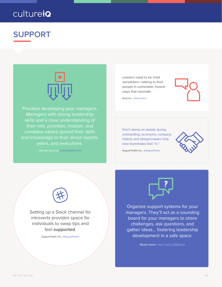#### **SUPPORT** ---------------



Prioritize developing your managers. Managers with strong leadership skills and a clear understanding of their role, priorities, mission, and company values spread their skills and knowledge to their direct reports, peers, and executives.

LifeLabs Learning, [@LifeLabsNewYork](https://twitter.com/lifelabsnewyork)

Leaders need to be chief storytellers—talking to their people in vulnerable, honest ways that resonate.



Root Inc., [@therootinc](https://twitter.com/therootinc)

Don't skimp on details during onboarding: acronyms, company history and idiosyncrasies help new teammates feel "in."



August Public Inc., [@AugustPublic](https://twitter.com/augustpublic)



a and a straight of the state of the state of the state of the state of the state of the state of the state of<br>a state of the state of the state of the state of the state of the state of the state of the state of the state

Setting up a Slack channel for introverts provides space for individuals to swap tips and feel **supported**.

August Public Inc., [@AugustPublic](https://twitter.com/augustpublic)



Organize support systems for your managers. They'll act as a sounding board for your managers to share challenges, ask questions, and gather ideas… fostering leadership development in a safe space.

Read more: http://bit.ly/2B0sIaX

an an Suite and Support of the Support of the Support of the Support of the Support of the Support of the Support of the Support of the Support of the Support of the Support of the Support of the Support of the Support of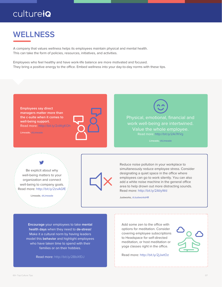#### **WELLNESS** ---------------

A company that values wellness helps its employees maintain physical and mental health. This can take the form of policies, resources, initiatives, and activities.

Employees who feel healthy and have work-life balance are more motivated and focused. They bring a positive energy to the office. Embed wellness into your day-to-day norms with these tips.

**Employees say direct managers matter more than the c-suite when it comes to well-being support.** Read more: http://bit.ly/2xWgKOh

Limeade[, @Limeade](https://twitter.com/Limeade)



Physical, emotional, financial and work well-being are intertwined. Value the whole employee. Read more: http://bit.ly/2Ai7KVg

Limeade[, @Limeade](https://twitter.com/Limeade)

Be explicit about why well-being matters to your organization and connect well-being to company goals. Read more: http://bit.ly/2zvAGfE

Limeade, [@Limeade](https://twitter.com/Limeade)



Reduce noise pollution in your workplace to simultaneously reduce employee stress. Consider designating a quiet space in the office where employees can go to work silently. You can also add a white noise machine in the general office area to help drown out more distracting sounds. Read more: http://bit.ly/2AliyWd

Justworks[, @JustworksHR](https://twitter.com/JustworksHR)

**Encourage** your employees to take **mental health days** when they need to **de-stress**! Make it a cultural norm by having leaders model this **behavior** and highlight employees who have taken time to spend with their families or on their hobbies.

Read more: http://bit.ly/2BbXfDJ

Add some zen to the office with options for meditation. Consider covering employee subscriptions to Headspace for self-directed meditation, or host meditation or yoga classes right in the office.

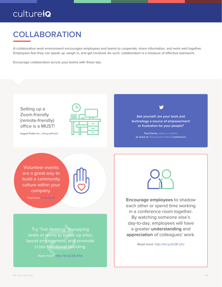#### **COLLABORATION** ---------------

A collaborative work environment encourages employees and teams to cooperate, share information, and work well together. Employees feel they can speak up, weigh in, and get involved. As such, collaboration is a measure of effective teamwork.

Encourage collaboration across your teams with these tips.



August Public Inc., [@AugustPublic](https://twitter.com/augustpublic)

**Ask yourself: are your tools and technology a source of empowerment or frustration for your people?**

Paul Davies[, @paul\\_w\\_davies](https://twitter.com/paul_w_davies) as heard at [HCInnovation@Work](https://twitter.com/human_capital) Conference

Volunteer events are a great way to build a community culture within your company.

YourCause, [@YourCause](https://twitter.com/YourCause)

Try "hot desking" (swapping seats at work) to break up silos, boost engagement, and promote cross-functional bonding.

Read more: http://bit.ly/2iEJh5n



**Encourage employees** to shadow each other or spend time working in a conference room together. By watching someone else's day-to-day, employees will have a greater **understanding** and **appreciation** of colleagues' work.

Read more: http://bit.ly/2hQFJ2U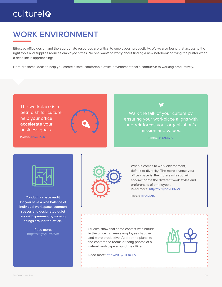#### **WORK ENVIRONMENT** ---------------

Effective office design and the appropriate resources are critical to employees' productivity. We've also found that access to the right tools and supplies reduces employee stress. No one wants to worry about finding a new notebook or fixing the printer when a deadline is approaching!

Here are some ideas to help you create a safe, comfortable office environment that's conducive to working productively.

The workplace is a petri dish for culture; help your office **accelerate** your business goals.



Plastarc[, @PLASTARC](https://twitter.com/plastarc)

Walk the talk of your culture by ensuring your workplace aligns with and **reinforces** your organization's **mission** and **values**.

Plastarc, [@PLASTARC](https://twitter.com/plastarc)



**Conduct a space audit: Do you have a nice balance of individual workspace, common spaces and designated quiet areas? Experiment by moving**  things around the office.

Read more:



When it comes to work environment. default to diversity. The more diverse your office space is, the more easily you will accommodate the different work styles and preferences of employees. Read more: http://bit.ly/2hTXQVz

Plastarc, [@PLASTARC](https://twitter.com/plastarc)

Studies show that some contact with nature in the office can make employees happier and more productive. Add potted plants to the conference rooms or hang photos of a natural landscape around the office.

Read more: http://bit.ly/2iEaULV

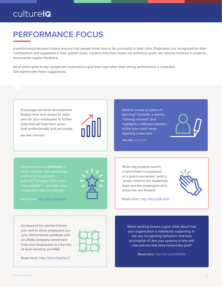#### **PERFORMANCE FOCUS**  ---------------

A performance-focused culture ensures that people know how to be successful in their roles. Employees are recognized for their contributions and supported in their growth areas. Leaders help their teams set ambitious goals, are actively involved in projects, and provide regular feedback.

All of which goes to say: people are motivated to give their best when their strong performance is rewarded. Get started with these suggestions.



Go beyond the standard thank you card to show employees you care. Demonstrate gratitude with an offsite company retreat and treat your employees to a fun day of team-bonding and R&R.

Read more: http://bit.ly/2zpHyLV

When working toward a goal, think about how your organization is holistically supporting it– are you recognizing behaviors that help accomplish it? Are your systems in line with new policies that drive toward the goal?

Read more: http://bit.ly/2zWOPSd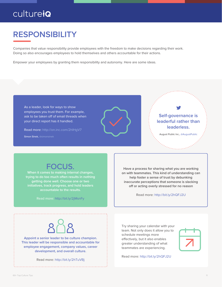#### **RESPONSIBILITY**  ---------------

Companies that value responsibility provide employees with the freedom to make decisions regarding their work. Doing so also encourages employees to hold themselves and others accountable for their actions.

Empower your employees by granting them responsibility and autonomy. Here are some ideas.



#### FOCUS.

**When it comes to making internal changes, trying to do too much often results in nothing getting done well. Choose one or two initiatives, track progress, and hold leaders accountable to the results.**

Read more: http://bit.ly/2jMsnFy

**Have a process for sharing what you are working on with teammates. This kind of understanding can help foster a sense of trust by debunking inaccurate perceptions that someone is slacking**  off or acting overly stressed for no reason

Read more: http://bit.ly/2hQFJ2U

**Appoint a senior leader to be culture champion. This leader will be responsible and accountable for employee engagement, company values, career development, and overall culture.** 

Read more: http://bit.ly/2hTuVBj

Try sharing your calendar with your team. Not only does it allow you to schedule meetings more effectively, but it also enables greater understanding of what teammates are experiencing.

Read more: http://bit.ly/2hQFJ2U

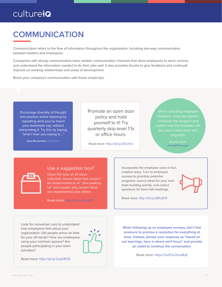#### **COMMUNICATION**  ---------------

Communication refers to the flow of information throughout the organization, including two-way communication between leaders and employees.

Companies with strong communication have reliable communication channels that allow employees to send, receive, and understand the information needed to do their jobs well. It also provides forums to give feedback and continuall improve on working relationships and areas of development.

Boost your company's communication with these simple tips.

Encourage diversity of thought and practice active listening by repeating what you've heard your teammate say, without interpreting it. Try this by saying, "what I hear you saying is…."

Dara Blumenthal, [@thisisdara](https://twitter.com/thisisdara)

Promote an open door policy and hold yourself to it! Try quarterly skip-level 1:1s or office hours.

Read more: http://bit.ly/2iEJh5n

feedback, have key leaders be used in short-term and

[@TheWPTherapist](https://twitter.com/thewptherapist)



#### Use a suggestion box?

Close the loop on all ideas collected. House ideas that couldn't are implemented over others.

Read more: http://bit.ly/2zotj9T

Incorporate the employee voice in fun, creative ways. Turn to employee surveys to prioritize potential programs, source ideas for your next team building activity, and collect questions for town hall meetings.

Read more: http://bit.ly/2B1vZH7



Look for nonverbal cues to understand how employees feel about your organization: Did people arrive on time for your all-hands? How are employees using your common spaces? Are people participating in your team activities?



Read more: http://bit.ly/2zpKRCS

**When following up on employee surveys, don't feel pressure to promise a resolution for everything at once. Instead, phrase your response as "based on our learnings, here is where we'll focus" and provide an outlet to continue the conversation.** 

Read more: https://buff.ly/2muBqfl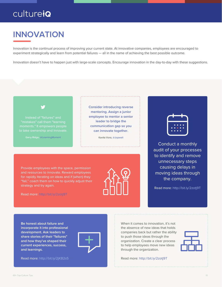#### **INNOVATION**  ---------------

Innovation is the continual process of improving your current state. At innovative companies, employees are encouraged to experiment strategically and learn from potential failures — all in the name of achieving the best possible outcome.

Innovation doesn't have to happen just with large-scale concepts. Encourage innovation in the day-to-day with these suggestions.



Instead of "failures" and

Garry Ridge, [@LearningMoment](https://twitter.com/learningmoment)

**Consider introducing reverse mentoring. Assign a junior employee to mentor a senior leader to bridge the communication gap so you can innovate together.** 

Kavita Vora[, @Jopwell](https://twitter.com/Jopwell)

Provide employees with the space, permission and resources to innovate. Reward employees for rapidly iterating on ideas and if (when) they "fail," coach them on how to quickly adjust their strategy and try again.



Conduct a monthly audit of your processes to identify and remove unnecessary steps causing delays in moving ideas through the company.

Read more: http://bit.ly/2zotj9T

Read more: http://bit.ly/2zotj9T

**Be honest about failure and incorporate it into professional development. Ask leaders to share stories of their "failures" and how they've shaped their current experiences, success, and learnings.**



Read more: http://bit.ly/2jKB2s5

When it comes to innovation, it's not the absence of new ideas that holds companies back but rather the ability to push those ideas through the organization. Create a clear process to help employees move new ideas through the organization.



Read more: http://bit.ly/2zotj9T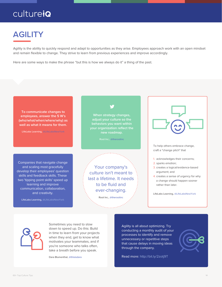### **AGILITY**  ---------------

Agility is the ability to quickly respond and adapt to opportunities as they arise. Employees approach work with an open mindset and remain flexible to change. They strive to learn from previous experiences and improve accordingly.

Here are some ways to make the phrase "but this is how we always do it" a thing of the past.

**To communicate changes to employees, answer the 5 W's (who/what/when/where/why) as well as what it means for them.**

LifeLabs Learning, [@LifeLabsNewYork](https://twitter.com/lifelabsnewyork)

Companies that navigate change and scaling most gracefully develop their employees' question skills and feedback skills. These two 'tipping point skills' speed up learning and improve communication, collaboration, and creativity.

LifeLabs Learning, [@LifeLabsNewYork](https://twitter.com/lifelabsnewyork)

**When strategy changes, adjust your culture so the behaviors you want within your organization reflect the new roadmap.**

Root Inc., [@therootinc](https://twitter.com/therootinc)

Your company's culture isn't meant to last a lifetime. It needs to be fluid and ever-changing.

Root Inc., [@therootinc](https://twitter.com/therootinc)



To help others embrace change, craft a "change pitch" that

- 1. acknowledges their concerns;
- 2. sparks emotion;
- 3. creates a logical/evidence-based argument; and
- 4. creates a sense of urgency for why a change should happen sooner rather than later.

LifeLabs Learning, [@LifeLabsNewYork](https://twitter.com/lifelabsnewyork)



Sometimes you need to slow down to speed up. Do this: Build in time to learn from your projects when they end, get to know what motivates your teammates, and if you're someone who talks often, take a breath before you speak.

Dara Blumenthal[, @thisisdara](https://twitter.com/thisisdara)

Agility is all about optimizing. Try conducting a monthly audit of your processes to identify and remove unnecessary or repetitive steps that cause delays in moving ideas through the company.

Read more: http://bit.ly/2zotj9T

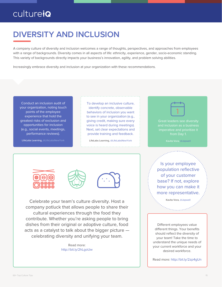#### **DIVERSITY AND INCLUSION**  ---------------

A company culture of diversity and inclusion welcomes a range of thoughts, perspectives, and approaches from employees with a range of backgrounds. Diversity comes in all aspects of life: ethnicity, experience, gender, socio-economic standing. This variety of backgrounds directly impacts your business's innovation, agility, and problem solving abilities.

Increasingly embrace diversity and inclusion at your organization with these recommendations.

Conduct an inclusion audit of your organization, noting touch points of the employee experience that hold the greatest risks of exclusion and opportunities for inclusion (e.g., social events, meetings, performance reviews).

LifeLabs Learning, [@LifeLabsNewYork](https://twitter.com/lifelabsnewyork)

To develop an inclusive culture, identify concrete, observable behaviors of inclusion you want to see in your organization (e.g., giving credit, making sure every voice is heard during meetings). Next, set clear expectations and provide training and feedback.

LifeLabs Learning, [@LifeLabsNewYork](https://twitter.com/lifelabsnewyork)



Great leaders see diversity and inclusion as a business

Kavita Vora, [@Jopwell](https://twitter.com/Jopwell)







Celebrate your team's culture diversity. Host a company potluck that allows people to share their cultural experiences through the food they contribute. Whether you're asking people to bring dishes from their original or adoptive culture, food acts as a catalyst to talk about the bigger picture celebrating diversity and unifying your team.

> Read more: http://bit.ly/2hLgoUw

Is your employee population reflective of your customer base? If not, explore how you can make it more representative.

Kavita Vora, [@Jopwell](https://twitter.com/Jopwell)

Different employees value different things. Your benefits should reflect the diversity of your team! Take the time to understand the unique needs of your current workforce and your desired workforce.

Read more: http://bit.ly/2zp4gUn